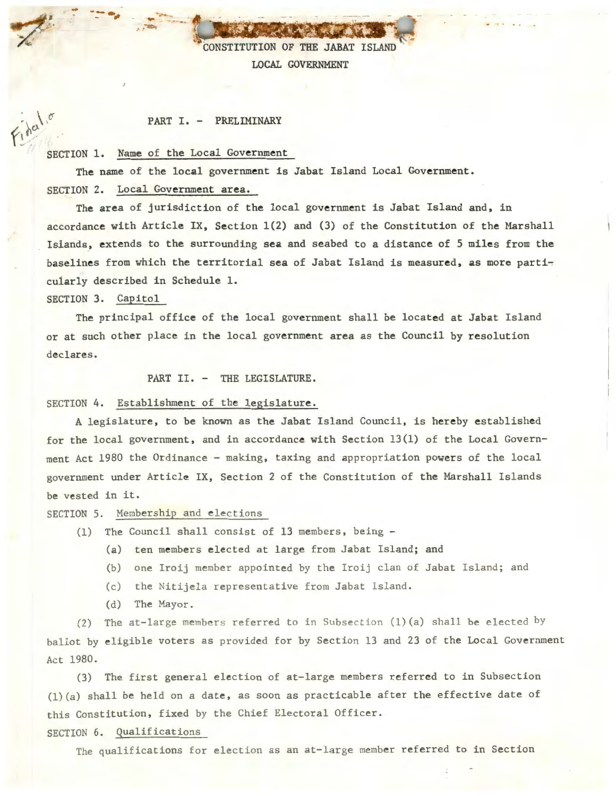CONSTITUTION OF THE JABAT ISLAND LOCAL GOVERNMENT

#### PART I. - PRELIMINARY

## SECTION 1. Name of the Local Government

-- -...... - -~ . .,... .. \_\_ <sup>~</sup>

The name of the local government is Jabat Island Local Government. SECTION 2. Local Government area.

The area of jurisdiction of the local government is Jabat Island and, in accordance with Article IX, Section 1(2) and (3) of the Constitution of the Marshall Islands, extends to the surrounding sea and seabed to a distance of 5 miles from the baselines from which the territorial sea of Jabat Island is measured, as more particularly described in Schedule 1.

SECTION 3. Capitol

The principal office of the local government shall be located at Jabat Island or at such other place in the local government area as the Council by resolution declares.

PART II. - THE LEGISLATURE.

#### SECTION 4. Establishment of the legislature.

A legislature, to be known as the Jabat Island Council, is hereby established for the local government, and in accordance with Section  $13(1)$  of the Local Government Act 1980 the Ordinance - making, taxing and appropriation powers of the local government under Article IX, Section 2 of the Constitution of the Marshall Islands be ve sted in it.

SECTION 5. Membership and elections

- (1) The Council shall consist of 13 members, being
	- (a) ten members elected at large from Jabat Island; and
	- (b) one Iroij member appointed by the Iroij clan of Jabat Island; and
	- (c) the Nitijela representative from Jabat Island.
	- (d) The Mayor .

(2) The at-large members referred to in Subsection (1) (a) shall be elected by ballot by eligible voters as provided for by Section 13 and 23 of the Local Government Act 1980.

(3) The first general election of at-large members referred to in Subsection  $(1)(a)$  shall be held on a date, as soon as practicable after the effective date of this Constitution, fixed by the Chief Electoral Officer .

SECTION 6. Qualifications

The qualifications for election as an at-large member referred to in Section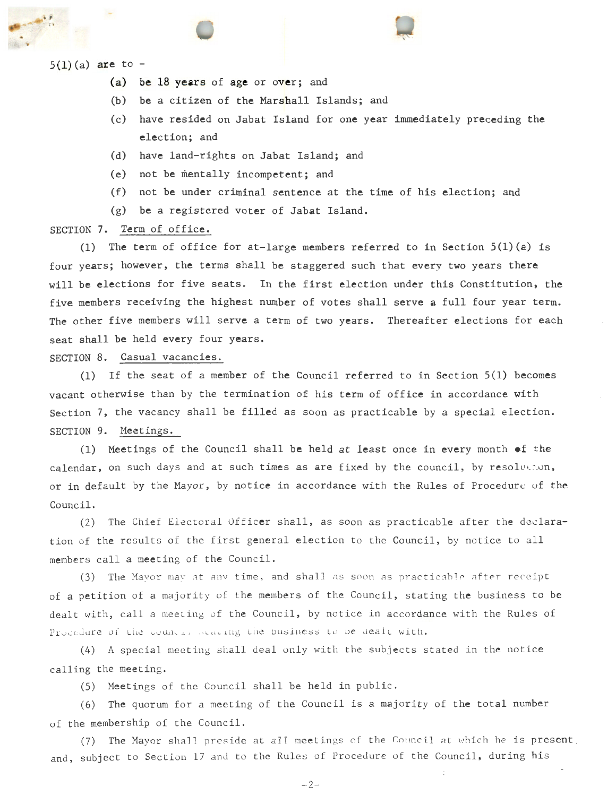

. ,

- (a) be 18 years of age or over; and
- (b) be a citizen of the Marshall Islands; and
- (c) have resided on Jabat Island for one year immediately preceding the election; and
- (d) have land-rights on Jabat Island; and
- (e) not be mentally incompetent; and
- (f) not be under criminal sentence at the time of his election; and
- (g) be a registered voter of Jabat Island.

## SECTION 7. Term of office.

(1) The term of office for at-large members referred to in Section  $5(1)(a)$  is four years; however, the terms shall be staggered such that every two years there will be elections for five seats. In the first election under this Constitution, the five members receiving the highest number of votes shall serve a full four year term. The other five members will serve a term of two years. Thereafter elections for each seat shall be held every four years.

SECTION 8. Casual vacancies.

(1) If the seat of a member of the Council referred to in Section 5(1) becomes vacant otherwise than by the termination of his term of office in accordance with Section 7, the vacancy shall be filled as soon as practicable by a special election. SECTION 9. Meetings.

(1) Meetings of the Council shall be held at least once in every month of the calendar, on such days and at such times as are fixed by the council, by resolvemon, or in default by the Mayor, by notice in accordance with the Rules of Procedure of the Council.

(2) The Chief Electoral Officer shall, as soon as practicable after the declaration of the results of the first general election to the Council, by notice to all members call a meeting of the Council.

(3) The Mayor may at any time, and shall as soon as practicable after receipt of a petition of a majority of the members of the Council, stating the business to be dealt with, call a meeting of the Council, by notice in accordance with the Rules of Procedure of the council stating the business to be dealt with.

(4) A special meeting shall deal only with the subjects stated in the notice calling the meeting.

(5) Meetings of the Counc il shall be held in public.

(6) The quorum for a meet ing of the Council is a majority of the total number of the membership of the Council .

(7) The Mayor shall preside at all meetings of the Council at which he is present. and, subject to Section 17 and to the Rules of Procedure of the Council, during his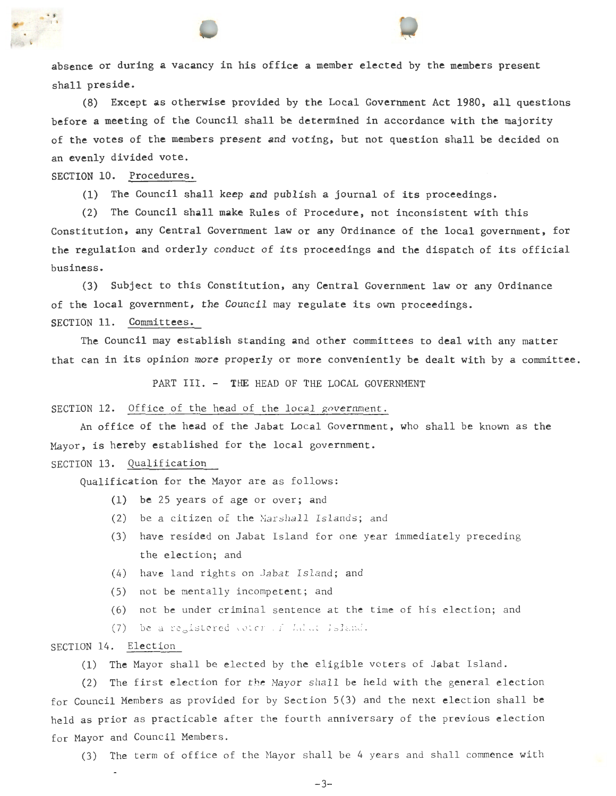absence or during a vacancy in his office a member elected by the members present shall preside.

(8) Except as otherwise provided by the Local Government Act 1980, all questions before a meeting of the Council shall be determined in accordance with the majority of the votes of the members present and voting, but not question shall be decided on an evenly divided vote.

SECTION 10. Procedures.

. , °'

(1) The Council shall keep and publish a journal of its proceedings.

(2) The Council shall make Rules of Procedure, not inconsistent with this Constitution, any Central Government law or any Ordinance of the local government, for the regulation and orderly conduct of its proceedings and the dispatch of its official business.

(3) Subject to this Constitution, any Central Government law or any Ordinance of the local government, the Council may regulate its own proceedings. SECTION 11. Committees.

The Council may establish standing and other committees to deal with any matter that can in its opinion more properly or more conveniently be dealt with by a committee.

PART III. - THE HEAD OF THE LOCAL GOVERNMENT

SECTION 12. Office of the head of the local government.

An office of the head of the Jabat Local Government, who shall be known as the Mayor, is hereby established for the local government.

## SECTION 13. Qualification

Qualification for the Mayor are as follows:

- (1) be 25 years of age or over; and
- (2) be a citizen of the Marshall Islands; and
- (3) have resided on Jabat Island for one year immediately preceding the election; and
- (4) have land rights on Jabat Island; and
- (5) not be mentally incompetent; and
- (6) not be under criminal sentence at the time of his election; and
- (7) be a registered voter of Jabat Island.

# SECTION 14. Election

(1) The Mayor shall be elected by the eligible voters of Jabat Island.

(2) The first election for the Mayor shall be held with the general election for Council Members as provided for by Section 5(3) and the next election shall be held as prior as practicable after the fourth anniversary of the previous election for Mayor and Council Members.

(3) The term of office of the Mayor shall be 4 years and shall commence with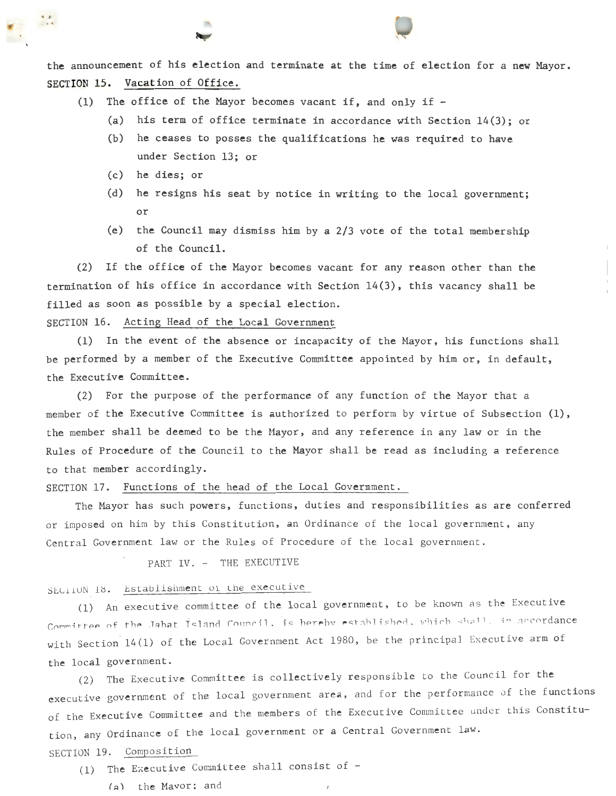the announcement of his election and terminate at the time of election for a new Mayor. SECTION 15. Vacation of Office.

- (1) The office of the Mayor becomes vacant if, and only if
	- (a) his term of office terminate in accordance with Section 14(3); or

 $\frac{1}{2}$ 

- (b) he ceases to posses the qualifications he was required to have under Section 13; or
- (c) he dies; or

..

- (d) he resigns his seat by notice in writing to the local government; or
- (e) the Council may dismiss him by a 2/3 vote of the total membership of the Council.

(2) If the office of the Mayor becomes vacant for any reason other than the termination of his office in accordance with Section 14(3), this vacancy shall be filled as soon as possible by a special election.

SECTION 16. Acting Head of the Local Government

(1) In the event of the absence or incapacity of the Mayor, his functions shall be performed by a member of the Executive Committee appointed by him or, in default, the Executive Committee.

(2) For the purpose of the performance of any function of the Mayor that a member of the Executive Committee is authorized to perform by virtue of Subsection (1), the member shall be deemed to be the Mayor, and any reference in any law or in the Rules of Procedure of the Council to the Mayor shall be read as including a reference to that member accordingly.

## SECTION 17. Functions of the head of the Local Govermment.

The Mayor has such powers, functions, duties and responsibilities as are conferred or imposed on him by this Constitution, an Ordinance of the local government, any Central Government law or the Rules of Procedure of the local government .

PART IV. - THE EXECUTIVE

# SEC110N 18. Establishment of the executive

(1) An executive committee of the local government, to be known as the Executive Committee of the Jabat Island Council, is hereby established, which shall, in accordance with Section 14(1) of the Local Government Act 1980, be the principal Executive arm of the local government.

(2) The Executive Committee is collectively responsible to the Council for the executive government of the local government area, and for the performance of the functions of the Executive Committee and the members of the Executive Committee under this Constitution, any Ordinance of the local government or a Central Government law. SECTION 19. Composition

- (1) The Executive Committee shall consist of -
	- $(a)$  the Mayor: and  $\sqrt{a}$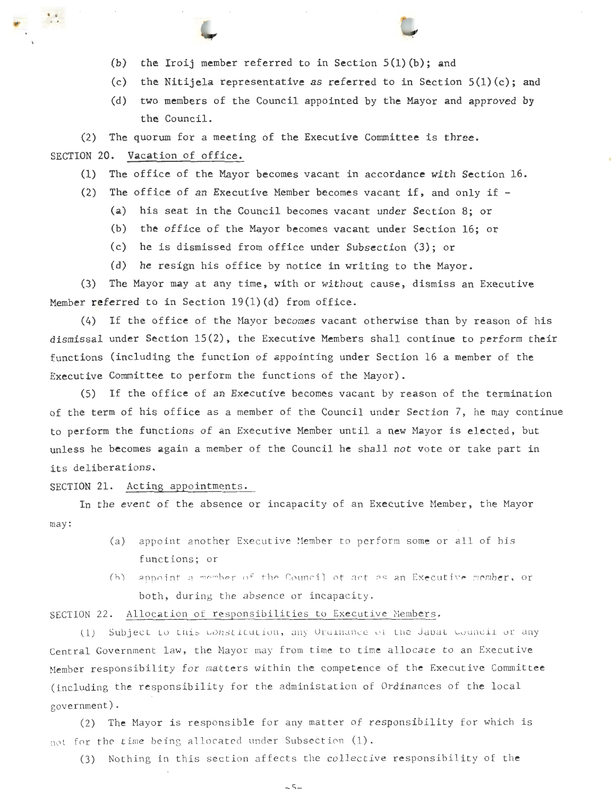- (b) the Iroij member referred to in Section S(l)(b); and
- (c) the Nitijela representative as referred to in Section  $5(1)(c)$ ; and
- (d) two members of the Council appointed by the Mayor and approved by the Council.

(2) The quorum for a meeting of the Executive Committee is three.

## SECTION 20. Vacation of office.

. '

- (1) The office of the Mayor becomes vacant in accordance with Section 16.
- (2) The office of an Executive Member becomes vacant if, and only if
	- (a) his seat in the Council becomes vacant under Section 8; or
	- (b) the office of the Mayor becomes vacant under Section 16; or
	- (c) he is dismissed from office under Subsection (3); or
	- (d) he resign his office by notice in writing to the Mayor.

(3) The Mayor may at any time, with or without cause, dismiss an Executive Member referred to in Section  $19(1)(d)$  from office.

(4) If the office of the Mayor becomes vacant otherwise than by reason of his dismissal under Section 15(2), the Executive Members shall continue to perform their functions (including the function of appointing under Section 16 a member of the Executive Committee to perform the functions of the Mayor).

(5) If the office of an Executive becomes vacant by reason of the termination of the term of his office as a member of the Council under Section 7, he may continue to perform the functions of an Executive Member until a new Mayor is elected, but unless he becomes again a member of the Council he shall not vote or take part in its deliberations.

SECTION 21. Acting appointments.

may : In the event of the absence or incapacity of an Executive Member, the Mayor

- (a) appoint another Executive Member to perform some or all of his functions; or
- (b) appoint a member of the Council ot act as an Executive member, or both, during the absence or incapacity.

SECTION 22. Allocation of responsibilities to Executive Members.

(1) Subject to this constitution, any Ordinance of the Jabat council or any Central Government law, the Mayor may from time to time allocate to an Executive Member responsibility for matters within the competence of the Executive Committee (including the responsibility for the administation of Ordinances of the local government) .

(2) The Mayor is responsible for any matter of responsibility for which is not for the time being allocated under Subsection (1).

(3) Nothing in this section affects the collective responsibility of the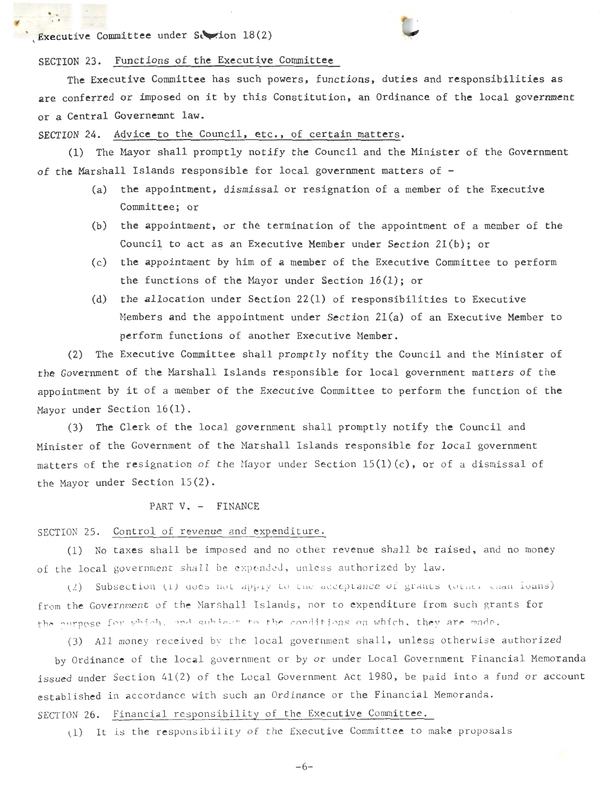# \ Executive Committee under St .ion 18(2)

. ' ..



## SECTION 23. Functions of the Executive Committee

The Executive Committee has such powers, functions, duties and responsibilities as are conferred or imposed on it by this Constitution, an Ordinance of the local government or a Central Governemnt law.

SECTION 24. Advice to the Council, etc., of certain matters.

(1) The Mayor shall promptly notify the Council and the Minister of the Government of the Marshall Islands responsible for local government matters of -

- (a) the appointment, dismissal or resignation of a member of the Executive Committee; or
- (b) the appointment, or the termination of the appointment of a member of the Council to act as an Executive Member under Section  $21(b)$ ; or
- (c) the appointment by him of a member of the Executive Committee to perform the functions of the Mayor under Section 16(1); or
- (d) the allocation under Section 22(1) of responsibilities to Executive Members and the appointment under Section 2l(a) of an Executive Member to perform functions of another Executive Member.

(2) The Executive Committee shall promptly nofity the Council and the Minister of the Government of the Marshall Islands responsible for local government matters of the appointment by it of a member of the Executive Committee to perform the function of the Mayor under Section 16(1).

(3) The Clerk of the local government shall promptly notify the Council and Minister of the Government of the Marshall Islands responsible for local government matters of the resignation of the Mayor under Section  $15(1)(c)$ , or of a dismissal of the Mayor under Section 15(2).

#### PART V. - FINANCE

#### SECTION 25. Control of revenue and expenditure.

(1) No taxes shall be imposed and no other revenue shall be raised, and no money of the local government shall be expended, unless authorized by law.

(2) Subsection (1) does not apply to the acceptance of grants (other chan loans) from the Government of the Marshall Islands, nor to expenditure from such grants for the purpose for which, and subject to the conditions on which, they are made.

(3) All money received by the local government shall, unless otherwise authorized by Ordinance of the local government or by or under Local Government Financial Memoranda issued under Section 41(2) of the Local Government Act 1980, be paid into a fund or account established in accordance with such an Ordinance or the Financial Memoranda. SECTION 26. Financial responsibility of the Executive Committee.

(1) It is the responsibility of the Executive Committee to make proposals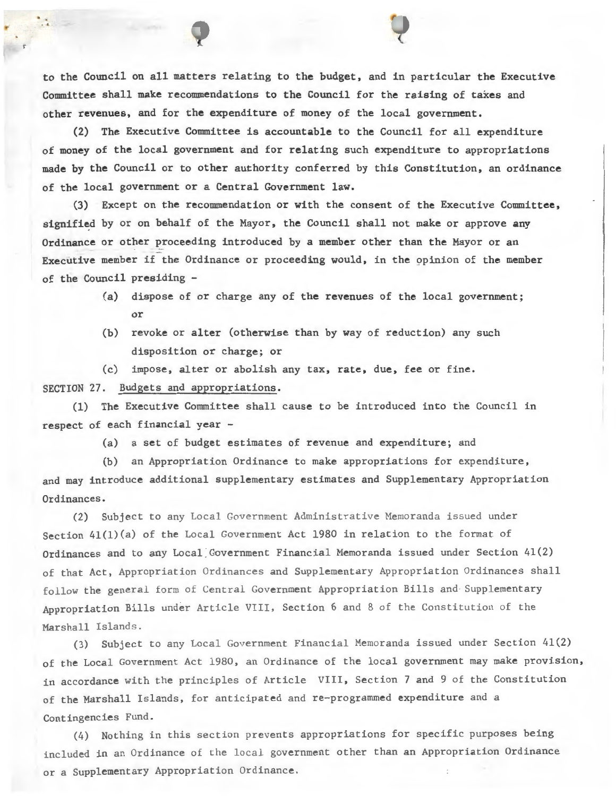to the Council on all matters relating to the budget, and in particular the Executive Committee shall make recommendations to the Council for the raising of taxes and other revenues, and for the expenditure of money of the local government.

(2) The Executive Committee is accountable to the Council for all expenditure of money of the local government and for relating such expenditure to appropriations made by the Council or to other authority conferred by this Constitution, an ordinance of the local government or a Central Government law.

(3) Except on the recommendation or with the consent of the Executive Committee, signified by or on behalf of the Mayor, the Council shall not make or approve any Ordinance or other proceeding introduced by a member other than the Mayor or an Executive member if the Ordinance or proceeding would, in the 9pinion of the member of the Council presiding -

- (a) dispose of or charge any of the revenues of the local government; or
- (b) revoke or alter (otherwise than by way of reduction) any such disposition or charge; or
- (c) impose, alter or abolish any tax, rate, due, fee or fine.

## SECTION 27. Budgets and appropriations.

(1) The Executive Committee shall cause to be introduced into the Council in respect of each financial year -

(a) a set of budget estimates of revenue and expenditure; and

(b) an Appropriation Ordinance to make appropriations for expenditure,

and may introduce additional supplementary estimates and Supplementary Appropriation Ordinances.

(2) Subject to any Local Government Administrative Memoranda issued under Section 4l(l)(a) of the Local Government Act 1980 in relation to the format of Ordinances and to any Local Government Financial Memoranda issued under Section 41(2) of that Act, Appropriation Ordinances and Supplementary Appropriation Ordinances shall follow the general form of Central Government Appropriation Bills and Supplementary Appropriation Bills under Article VIII, Section 6 and 8 of the Constitution of the Marshall Islands.

(3) Subject to any Local Government Financial Memoranda issued under Section 41(2) of the Local Government Act 1980, an Ordinance of the local government may make provision, in accordance with the principles of Article VIII, Section 7 and 9 of the Constitution of the Marshall Islands, for anticipated and re-programmed expenditure and a Contingencies Fund .

(4) Nothing in this section prevents appropriations for specific purposes being included in an Ordinance of the local government other than an Appropriation Ordinance or a Supplementary Appropriation Ordinance .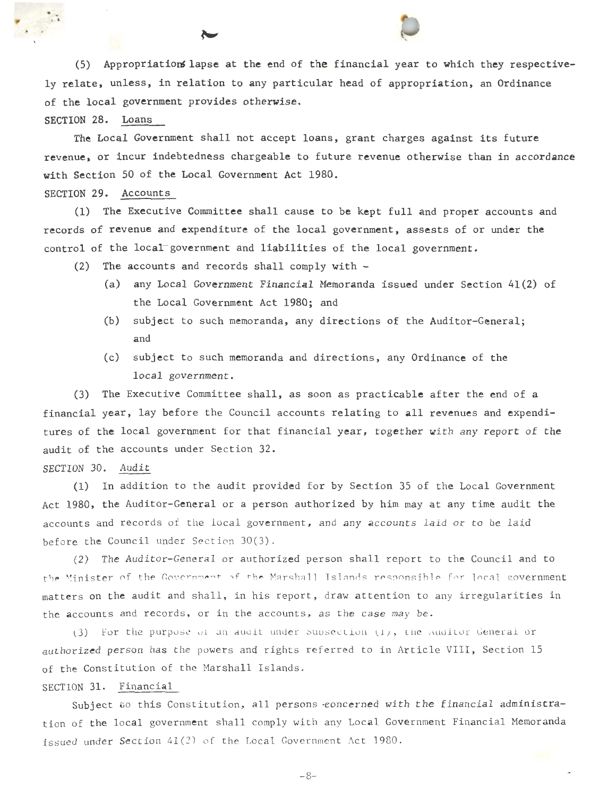(5) Appropriations lapse at the end of the financial year to which they respectively relate, unless, in relation to any particular head of appropriation, an Ordinance of the local government provides otherwise.

SECTION 28. Loans

 $\ddot{\phantom{a}}$ 

The Local Government shall not accept loans, grant charges against its future revenue, or incur indebtedness chargeable to future revenue otherwise than in accordance with Section 50 of the Local Government Act 1980.

#### SECTION 29. Accounts

(1) The Executive Committee shall cause to be kept full and proper accounts and records of revenue and expenditure of the local government, assests of or under the control of the local government and liabilities of the local government.

- (2) The accounts and records shall comply with
	- (a) any Local Government Financial Memoranda issued under Section 41(2) of the Local Government Act 1980; and
	- (b) subject to such memoranda, any directions of the Auditor-General; and
	- (c) subject to such memoranda and directions, any Ordinance of the local government.

(3) The Executive Committee shall, as soon as practicable after the end of a financial year, lay before the Council accounts relating to all revenues and expenditures of the local government for that financial year, together with any report of the audit of the accounts under Section 32 .

#### SECTION 30. Audit

(1) In addition to the audit provided for by Section 35 of the Local Government Act 1980, the Auditor-General or a person authorized by him may at any time audit the accounts and records of the local government, and any accounts laid or to be laid before the Council under Section  $30(3)$ .

(2) The Auditor-General or authorized person shall report to the Council and to the Minister of the Government of the Marshall Islands responsible for local government matters on the audit and shall, in his report, draw attention to any irregularities in the accounts and records, or in the accounts, as the case may be.

(3) For the purpose of an audit under subsection  $(1)$ , the Auditor General or authorized person has the powers and rights referred to in Article VIII, Section 15 of the Constitution of the Marshall Islands.

## SECTION 31. Financial

Subject to this Constitution, all persons concerned with the financial administration of the local government shall comply with any Local Government Financial Memoranda issued under Section  $41(2)$  of the Local Government Act 1980.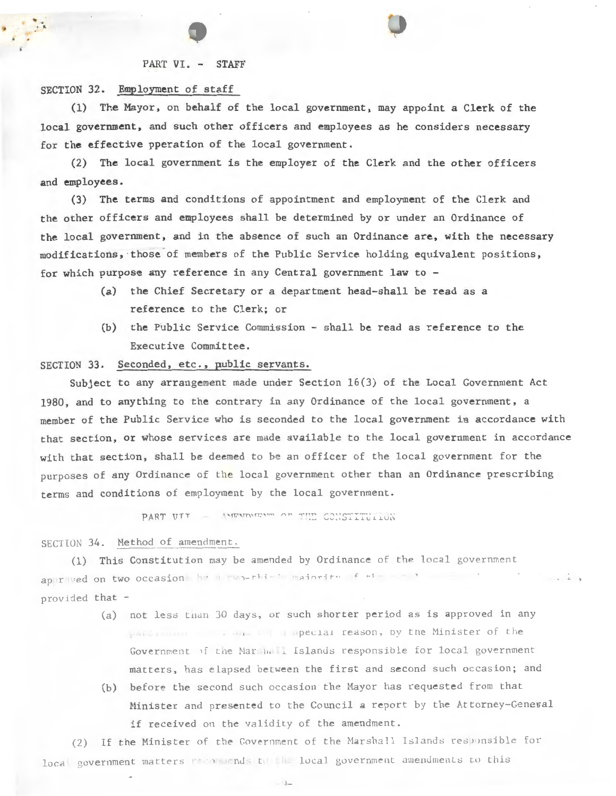#### PART VI. - STAFF

#### SECTION 32. Employment of staff

.. .  $\ddot{\cdot}$ 

> $(1)$  The Mayor, on behalf of the local government, may appoint a Clerk of the local government, and such other officers and employees as he considers necessary for the effective pperation of the local government.

> (2) The local government is the employer of the Clerk and the other officers and employees.

(3) The terms and conditions of appointment and employment of the Clerk and the other officers and employees shall be determined by or under an Ordinance of the local government, and in the absence of such an Ordinance are, with the necessary modifications, those of members of the Public Service holding equivalent positions, for which purpose any reference in any Central government law to -

- (a) the Chief Secretary or a department head-shall be read as a reference to the Clerk; or
- (b) the Public Service Commission shall be read as reference to the Executive Committee.

## SECTION 33. Seconded, etc., public servants.

Subject to any arrangement made under Section 16(3) of the Local Government Act 1980, and to anything to the contrary in any Ordinance of the local government, a member of the Public Service who is seconded to the local government ia accordance with that section, or whose services are made available to the local government in accordance with that section, shall be deemed to be an officer of the local government for the purposes of any Ordinance of the local government other than an Ordinance prescribing terms and conditions of employment by the local government.

PART VII - AMENDMENT OF THE CONSTITUTION

# SECTION 34. Method of amendment.

(1) This Constitution may be amended by Ordinance of the local government ap  $|r|$   $ved$  on two occasion  $h$   $v$   $n$   $\neg$   $e$   $h$   $i$   $\neg$   $h$   $i$   $\neg$   $f$   $\neg$   $f$   $\neg$   $f$   $\neg$   $f$  $\cdots$   $\cdots$ provided that -

- (a) not less than 30 days, or such shorter period as is approved in any pecial reason, by the Minister of the Government of the Marshall Islands responsible for local government matters, has elapsed between the first and second such occasion; and
- (b) before the second such occasion the Mayor has requested from that Minister and presented to the Council a report by the Attorney-General if received on the validity of the amendment.

(2) If the Minister of the Government of the Marshall Islands responsible for local government matters for ommends the local government amendments to this

 $-9-$